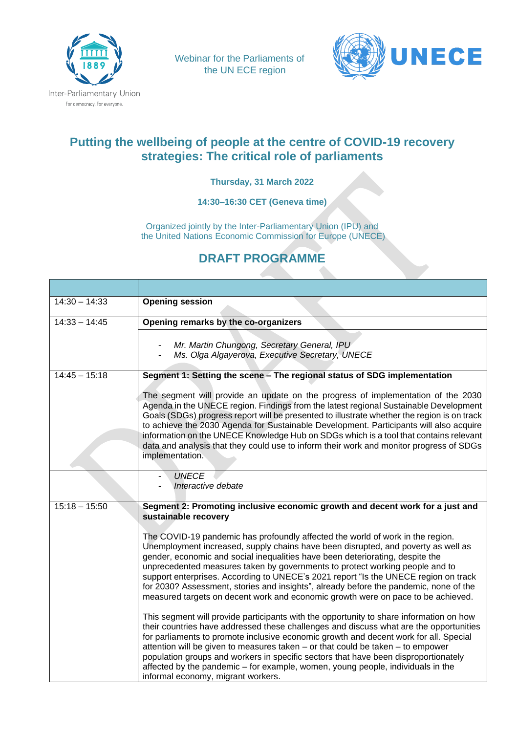

Webinar for the Parliaments of the UN ECE region



## **Putting the wellbeing of people at the centre of COVID-19 recovery strategies: The critical role of parliaments**

**Thursday, 31 March 2022**

**14:30–16:30 CET (Geneva time)**

Organized jointly by the Inter-Parliamentary Union (IPU) and the United Nations Economic Commission for Europe (UNECE)

## **DRAFT PROGRAMME**

| $14:30 - 14:33$ | <b>Opening session</b>                                                                                                                                                                                                                                                                                                                                                                                                                                                                                                                                                                                   |
|-----------------|----------------------------------------------------------------------------------------------------------------------------------------------------------------------------------------------------------------------------------------------------------------------------------------------------------------------------------------------------------------------------------------------------------------------------------------------------------------------------------------------------------------------------------------------------------------------------------------------------------|
| $14:33 - 14:45$ | Opening remarks by the co-organizers                                                                                                                                                                                                                                                                                                                                                                                                                                                                                                                                                                     |
|                 | Mr. Martin Chungong, Secretary General, IPU<br>Ms. Olga Algayerova, Executive Secretary, UNECE                                                                                                                                                                                                                                                                                                                                                                                                                                                                                                           |
| $14:45 - 15:18$ | Segment 1: Setting the scene - The regional status of SDG implementation                                                                                                                                                                                                                                                                                                                                                                                                                                                                                                                                 |
|                 | The segment will provide an update on the progress of implementation of the 2030<br>Agenda in the UNECE region. Findings from the latest regional Sustainable Development<br>Goals (SDGs) progress report will be presented to illustrate whether the region is on track<br>to achieve the 2030 Agenda for Sustainable Development. Participants will also acquire<br>information on the UNECE Knowledge Hub on SDGs which is a tool that contains relevant<br>data and analysis that they could use to inform their work and monitor progress of SDGs<br>implementation.                                |
|                 | <b>UNECE</b><br>Interactive debate                                                                                                                                                                                                                                                                                                                                                                                                                                                                                                                                                                       |
| $15:18 - 15:50$ | Segment 2: Promoting inclusive economic growth and decent work for a just and<br>sustainable recovery                                                                                                                                                                                                                                                                                                                                                                                                                                                                                                    |
|                 | The COVID-19 pandemic has profoundly affected the world of work in the region.<br>Unemployment increased, supply chains have been disrupted, and poverty as well as<br>gender, economic and social inequalities have been deteriorating, despite the<br>unprecedented measures taken by governments to protect working people and to<br>support enterprises. According to UNECE's 2021 report "Is the UNECE region on track<br>for 2030? Assessment, stories and insights", already before the pandemic, none of the<br>measured targets on decent work and economic growth were on pace to be achieved. |
|                 | This segment will provide participants with the opportunity to share information on how<br>their countries have addressed these challenges and discuss what are the opportunities<br>for parliaments to promote inclusive economic growth and decent work for all. Special<br>attention will be given to measures taken – or that could be taken – to empower<br>population groups and workers in specific sectors that have been disproportionately<br>affected by the pandemic – for example, women, young people, individuals in the<br>informal economy, migrant workers.                            |